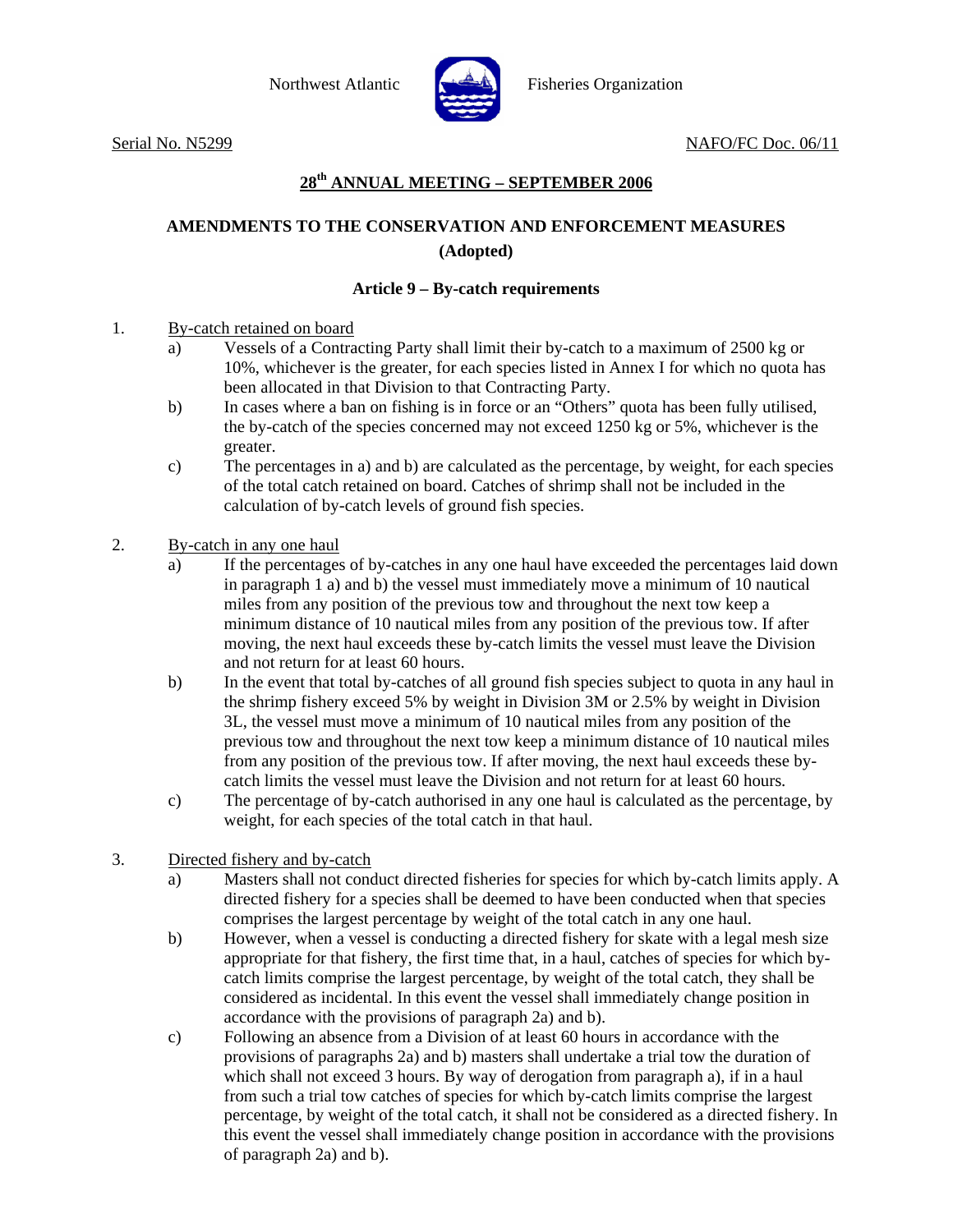

Northwest Atlantic Fisheries Organization

Serial No. N5299 NAFO/FC Doc. 06/11

## **28th ANNUAL MEETING – SEPTEMBER 2006**

# **AMENDMENTS TO THE CONSERVATION AND ENFORCEMENT MEASURES (Adopted)**

### **Article 9 – By-catch requirements**

1. By-catch retained on board

- a) Vessels of a Contracting Party shall limit their by-catch to a maximum of 2500 kg or 10%, whichever is the greater, for each species listed in Annex I for which no quota has been allocated in that Division to that Contracting Party.
- b) In cases where a ban on fishing is in force or an "Others" quota has been fully utilised, the by-catch of the species concerned may not exceed 1250 kg or 5%, whichever is the greater.
- c) The percentages in a) and b) are calculated as the percentage, by weight, for each species of the total catch retained on board. Catches of shrimp shall not be included in the calculation of by-catch levels of ground fish species.
- 2. By-catch in any one haul
	- a) If the percentages of by-catches in any one haul have exceeded the percentages laid down in paragraph 1 a) and b) the vessel must immediately move a minimum of 10 nautical miles from any position of the previous tow and throughout the next tow keep a minimum distance of 10 nautical miles from any position of the previous tow. If after moving, the next haul exceeds these by-catch limits the vessel must leave the Division and not return for at least 60 hours.
	- b) In the event that total by-catches of all ground fish species subject to quota in any haul in the shrimp fishery exceed 5% by weight in Division 3M or 2.5% by weight in Division 3L, the vessel must move a minimum of 10 nautical miles from any position of the previous tow and throughout the next tow keep a minimum distance of 10 nautical miles from any position of the previous tow. If after moving, the next haul exceeds these bycatch limits the vessel must leave the Division and not return for at least 60 hours.
	- c) The percentage of by-catch authorised in any one haul is calculated as the percentage, by weight, for each species of the total catch in that haul.
- 3. Directed fishery and by-catch
	- a) Masters shall not conduct directed fisheries for species for which by-catch limits apply. A directed fishery for a species shall be deemed to have been conducted when that species comprises the largest percentage by weight of the total catch in any one haul.
	- b) However, when a vessel is conducting a directed fishery for skate with a legal mesh size appropriate for that fishery, the first time that, in a haul, catches of species for which bycatch limits comprise the largest percentage, by weight of the total catch, they shall be considered as incidental. In this event the vessel shall immediately change position in accordance with the provisions of paragraph 2a) and b).
	- c) Following an absence from a Division of at least 60 hours in accordance with the provisions of paragraphs 2a) and b) masters shall undertake a trial tow the duration of which shall not exceed 3 hours. By way of derogation from paragraph a), if in a haul from such a trial tow catches of species for which by-catch limits comprise the largest percentage, by weight of the total catch, it shall not be considered as a directed fishery. In this event the vessel shall immediately change position in accordance with the provisions of paragraph 2a) and b).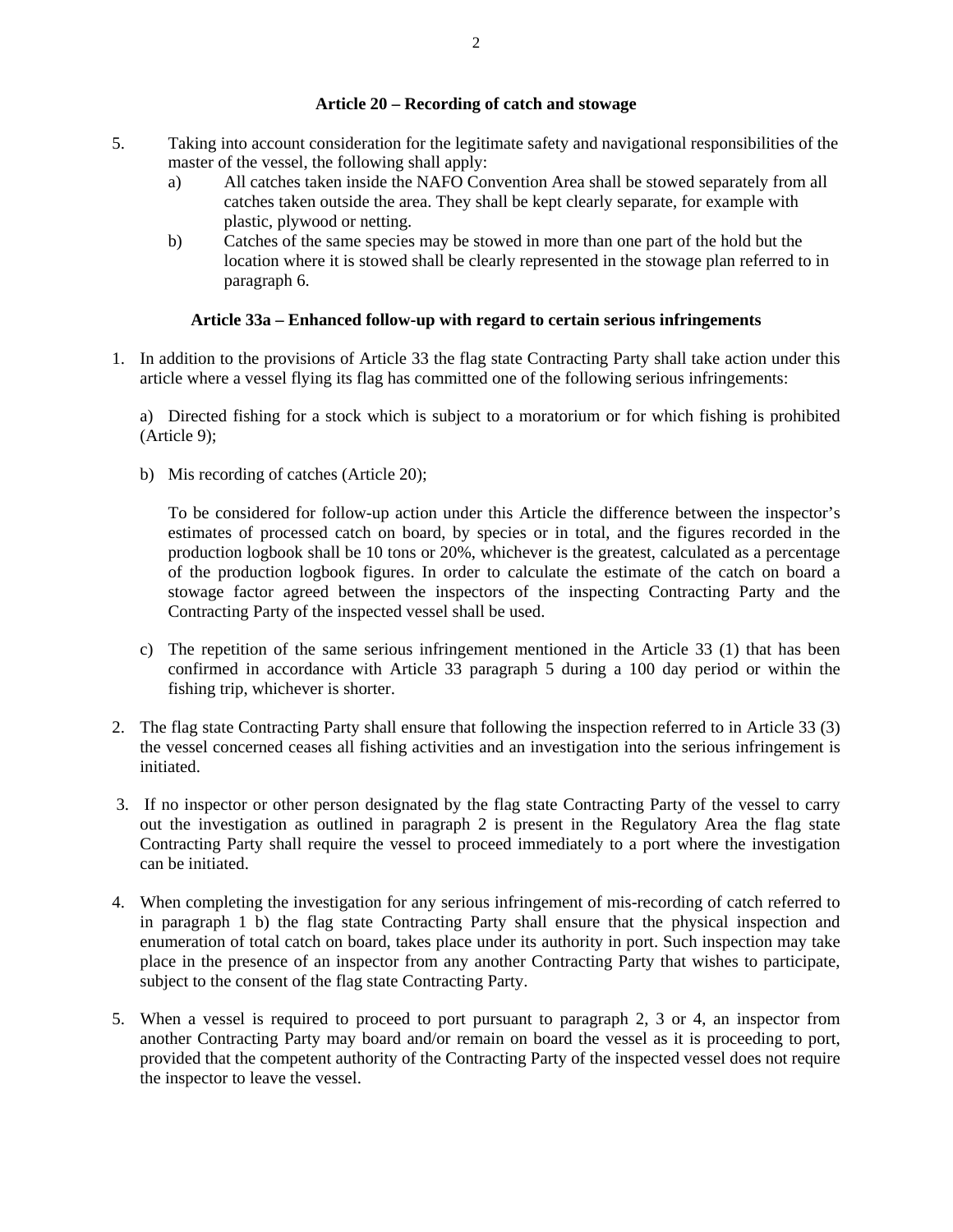#### **Article 20 – Recording of catch and stowage**

- 5. Taking into account consideration for the legitimate safety and navigational responsibilities of the master of the vessel, the following shall apply:
	- a) All catches taken inside the NAFO Convention Area shall be stowed separately from all catches taken outside the area. They shall be kept clearly separate, for example with plastic, plywood or netting.
	- b) Catches of the same species may be stowed in more than one part of the hold but the location where it is stowed shall be clearly represented in the stowage plan referred to in paragraph 6.

### **Article 33a – Enhanced follow-up with regard to certain serious infringements**

1. In addition to the provisions of Article 33 the flag state Contracting Party shall take action under this article where a vessel flying its flag has committed one of the following serious infringements:

a) Directed fishing for a stock which is subject to a moratorium or for which fishing is prohibited (Article 9);

b) Mis recording of catches (Article 20);

To be considered for follow-up action under this Article the difference between the inspector's estimates of processed catch on board, by species or in total, and the figures recorded in the production logbook shall be 10 tons or 20%, whichever is the greatest, calculated as a percentage of the production logbook figures. In order to calculate the estimate of the catch on board a stowage factor agreed between the inspectors of the inspecting Contracting Party and the Contracting Party of the inspected vessel shall be used.

- c) The repetition of the same serious infringement mentioned in the Article 33 (1) that has been confirmed in accordance with Article 33 paragraph 5 during a 100 day period or within the fishing trip, whichever is shorter.
- 2. The flag state Contracting Party shall ensure that following the inspection referred to in Article 33 (3) the vessel concerned ceases all fishing activities and an investigation into the serious infringement is initiated.
- 3. If no inspector or other person designated by the flag state Contracting Party of the vessel to carry out the investigation as outlined in paragraph 2 is present in the Regulatory Area the flag state Contracting Party shall require the vessel to proceed immediately to a port where the investigation can be initiated.
- 4. When completing the investigation for any serious infringement of mis-recording of catch referred to in paragraph 1 b) the flag state Contracting Party shall ensure that the physical inspection and enumeration of total catch on board, takes place under its authority in port. Such inspection may take place in the presence of an inspector from any another Contracting Party that wishes to participate, subject to the consent of the flag state Contracting Party.
- 5. When a vessel is required to proceed to port pursuant to paragraph 2, 3 or 4, an inspector from another Contracting Party may board and/or remain on board the vessel as it is proceeding to port, provided that the competent authority of the Contracting Party of the inspected vessel does not require the inspector to leave the vessel.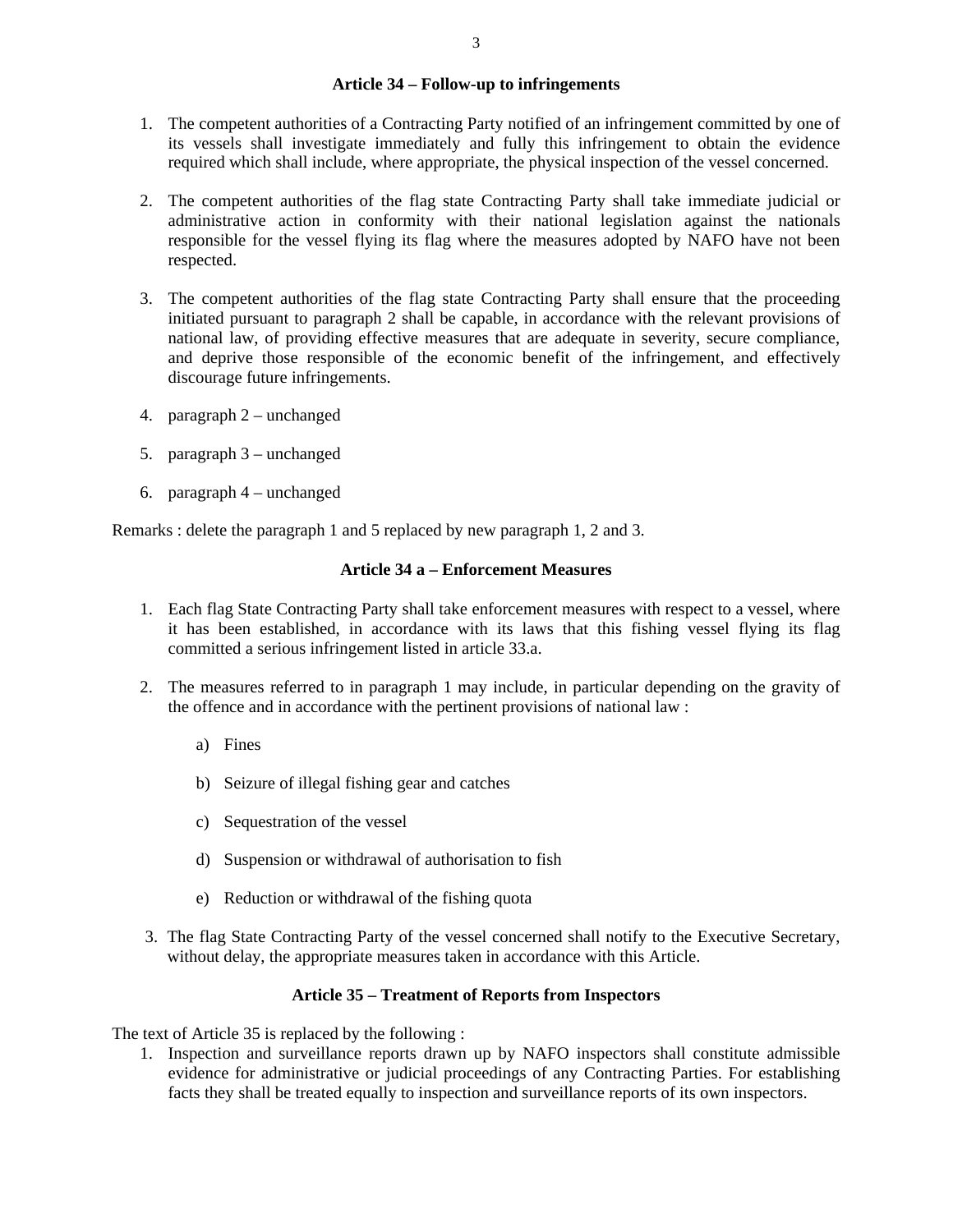#### **Article 34 – Follow-up to infringements**

- 1. The competent authorities of a Contracting Party notified of an infringement committed by one of its vessels shall investigate immediately and fully this infringement to obtain the evidence required which shall include, where appropriate, the physical inspection of the vessel concerned.
- 2. The competent authorities of the flag state Contracting Party shall take immediate judicial or administrative action in conformity with their national legislation against the nationals responsible for the vessel flying its flag where the measures adopted by NAFO have not been respected.
- 3. The competent authorities of the flag state Contracting Party shall ensure that the proceeding initiated pursuant to paragraph 2 shall be capable, in accordance with the relevant provisions of national law, of providing effective measures that are adequate in severity, secure compliance, and deprive those responsible of the economic benefit of the infringement, and effectively discourage future infringements.
- 4. paragraph 2 unchanged
- 5. paragraph 3 unchanged
- 6. paragraph 4 unchanged

Remarks : delete the paragraph 1 and 5 replaced by new paragraph 1, 2 and 3.

### **Article 34 a – Enforcement Measures**

- 1. Each flag State Contracting Party shall take enforcement measures with respect to a vessel, where it has been established, in accordance with its laws that this fishing vessel flying its flag committed a serious infringement listed in article 33.a.
- 2. The measures referred to in paragraph 1 may include, in particular depending on the gravity of the offence and in accordance with the pertinent provisions of national law :
	- a) Fines
	- b) Seizure of illegal fishing gear and catches
	- c) Sequestration of the vessel
	- d) Suspension or withdrawal of authorisation to fish
	- e) Reduction or withdrawal of the fishing quota
- 3. The flag State Contracting Party of the vessel concerned shall notify to the Executive Secretary, without delay, the appropriate measures taken in accordance with this Article.

### **Article 35 – Treatment of Reports from Inspectors**

The text of Article 35 is replaced by the following :

1. Inspection and surveillance reports drawn up by NAFO inspectors shall constitute admissible evidence for administrative or judicial proceedings of any Contracting Parties. For establishing facts they shall be treated equally to inspection and surveillance reports of its own inspectors.